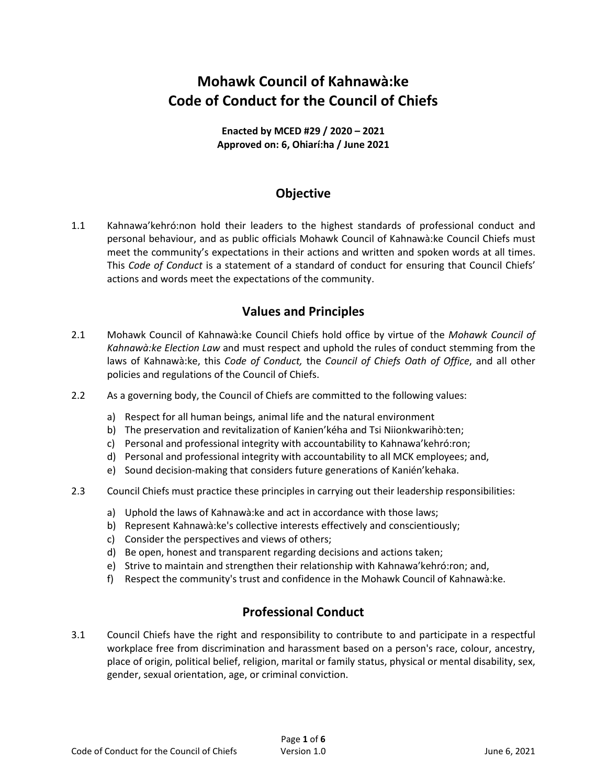# **Mohawk Council of Kahnawà:ke Code of Conduct for the Council of Chiefs**

**Enacted by MCED #29 / 2020 – 2021 Approved on: 6, Ohiarí:ha / June 2021**

#### **Objective**

1.1 Kahnawa'kehró:non hold their leaders to the highest standards of professional conduct and personal behaviour, and as public officials Mohawk Council of Kahnawà:ke Council Chiefs must meet the community's expectations in their actions and written and spoken words at all times. This *Code of Conduct* is a statement of a standard of conduct for ensuring that Council Chiefs' actions and words meet the expectations of the community.

### **Values and Principles**

- 2.1 Mohawk Council of Kahnawà:ke Council Chiefs hold office by virtue of the *Mohawk Council of Kahnawà:ke Election Law* and must respect and uphold the rules of conduct stemming from the laws of Kahnawà:ke, this *Code of Conduct,* the *Council of Chiefs Oath of Office*, and all other policies and regulations of the Council of Chiefs.
- 2.2 As a governing body, the Council of Chiefs are committed to the following values:
	- a) Respect for all human beings, animal life and the natural environment
	- b) The preservation and revitalization of Kanien'kéha and Tsi Niionkwarihò:ten;
	- c) Personal and professional integrity with accountability to Kahnawa'kehró:ron;
	- d) Personal and professional integrity with accountability to all MCK employees; and,
	- e) Sound decision-making that considers future generations of Kanién'kehaka.
- 2.3 Council Chiefs must practice these principles in carrying out their leadership responsibilities:
	- a) Uphold the laws of Kahnawà:ke and act in accordance with those laws;
	- b) Represent Kahnawà:ke's collective interests effectively and conscientiously;
	- c) Consider the perspectives and views of others;
	- d) Be open, honest and transparent regarding decisions and actions taken;
	- e) Strive to maintain and strengthen their relationship with Kahnawa'kehró:ron; and,
	- f) Respect the community's trust and confidence in the Mohawk Council of Kahnawà:ke.

# **Professional Conduct**

3.1 Council Chiefs have the right and responsibility to contribute to and participate in a respectful workplace free from discrimination and harassment based on a person's race, colour, ancestry, place of origin, political belief, religion, marital or family status, physical or mental disability, sex, gender, sexual orientation, age, or criminal conviction.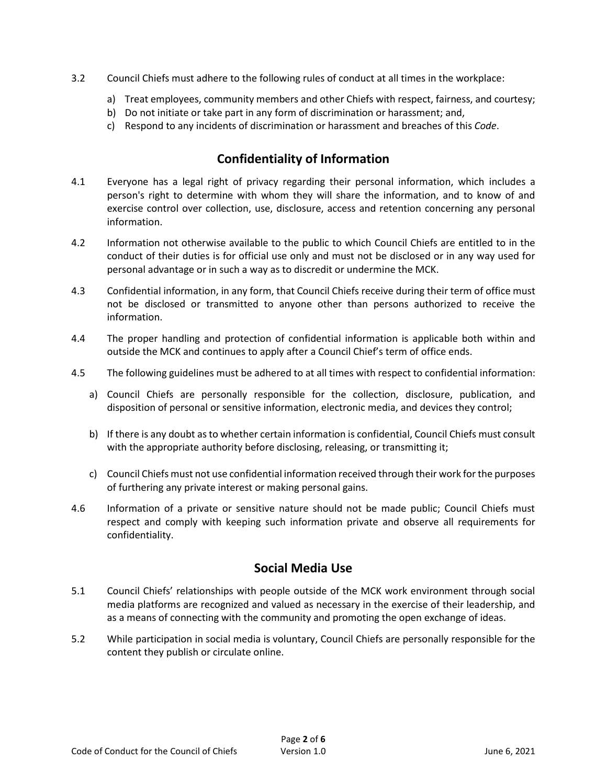- 3.2 Council Chiefs must adhere to the following rules of conduct at all times in the workplace:
	- a) Treat employees, community members and other Chiefs with respect, fairness, and courtesy;
	- b) Do not initiate or take part in any form of discrimination or harassment; and,
	- c) Respond to any incidents of discrimination or harassment and breaches of this *Code*.

# **Confidentiality of Information**

- 4.1 Everyone has a legal right of privacy regarding their personal information, which includes a person's right to determine with whom they will share the information, and to know of and exercise control over collection, use, disclosure, access and retention concerning any personal information.
- 4.2 Information not otherwise available to the public to which Council Chiefs are entitled to in the conduct of their duties is for official use only and must not be disclosed or in any way used for personal advantage or in such a way as to discredit or undermine the MCK.
- 4.3 Confidential information, in any form, that Council Chiefs receive during their term of office must not be disclosed or transmitted to anyone other than persons authorized to receive the information.
- 4.4 The proper handling and protection of confidential information is applicable both within and outside the MCK and continues to apply after a Council Chief's term of office ends.
- 4.5 The following guidelines must be adhered to at all times with respect to confidential information:
	- a) Council Chiefs are personally responsible for the collection, disclosure, publication, and disposition of personal or sensitive information, electronic media, and devices they control;
	- b) If there is any doubt as to whether certain information is confidential, Council Chiefs must consult with the appropriate authority before disclosing, releasing, or transmitting it;
	- c) Council Chiefs must not use confidential information received through their work for the purposes of furthering any private interest or making personal gains.
- 4.6 Information of a private or sensitive nature should not be made public; Council Chiefs must respect and comply with keeping such information private and observe all requirements for confidentiality.

### **Social Media Use**

- 5.1 Council Chiefs' relationships with people outside of the MCK work environment through social media platforms are recognized and valued as necessary in the exercise of their leadership, and as a means of connecting with the community and promoting the open exchange of ideas.
- 5.2 While participation in social media is voluntary, Council Chiefs are personally responsible for the content they publish or circulate online.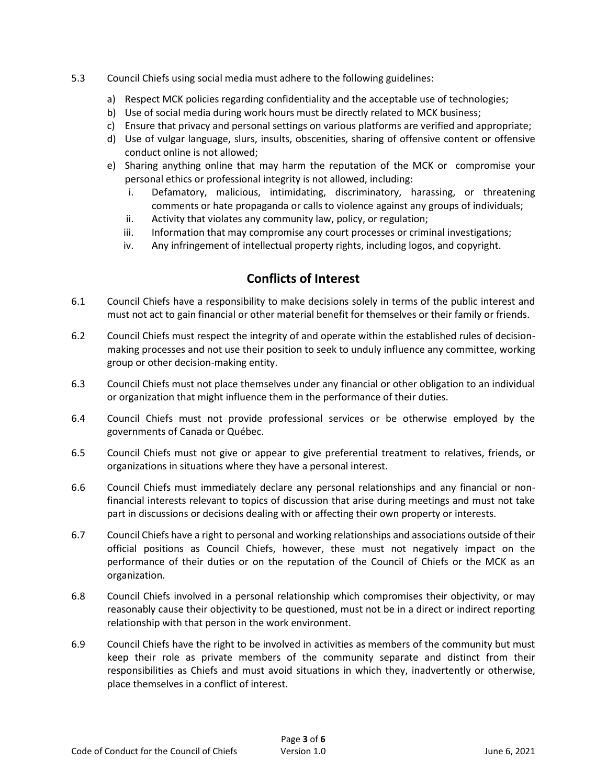- 5.3 Council Chiefs using social media must adhere to the following guidelines:
	- a) Respect MCK policies regarding confidentiality and the acceptable use of technologies;
	- b) Use of social media during work hours must be directly related to MCK business;
	- c) Ensure that privacy and personal settings on various platforms are verified and appropriate;
	- d) Use of vulgar language, slurs, insults, obscenities, sharing of offensive content or offensive conduct online is not allowed;
	- e) Sharing anything online that may harm the reputation of the MCK or compromise your personal ethics or professional integrity is not allowed, including:
		- i. Defamatory, malicious, intimidating, discriminatory, harassing, or threatening comments or hate propaganda or calls to violence against any groups of individuals;
		- ii. Activity that violates any community law, policy, or regulation;
		- iii. Information that may compromise any court processes or criminal investigations;
		- iv. Any infringement of intellectual property rights, including logos, and copyright.

#### **Conflicts of Interest**

- 6.1 Council Chiefs have a responsibility to make decisions solely in terms of the public interest and must not act to gain financial or other material benefit for themselves or their family or friends.
- 6.2 Council Chiefs must respect the integrity of and operate within the established rules of decisionmaking processes and not use their position to seek to unduly influence any committee, working group or other decision-making entity.
- 6.3 Council Chiefs must not place themselves under any financial or other obligation to an individual or organization that might influence them in the performance of their duties.
- 6.4 Council Chiefs must not provide professional services or be otherwise employed by the governments of Canada or Québec.
- 6.5 Council Chiefs must not give or appear to give preferential treatment to relatives, friends, or organizations in situations where they have a personal interest.
- 6.6 Council Chiefs must immediately declare any personal relationships and any financial or nonfinancial interests relevant to topics of discussion that arise during meetings and must not take part in discussions or decisions dealing with or affecting their own property or interests.
- 6.7 Council Chiefs have a right to personal and working relationships and associations outside of their official positions as Council Chiefs, however, these must not negatively impact on the performance of their duties or on the reputation of the Council of Chiefs or the MCK as an organization.
- 6.8 Council Chiefs involved in a personal relationship which compromises their objectivity, or may reasonably cause their objectivity to be questioned, must not be in a direct or indirect reporting relationship with that person in the work environment.
- 6.9 Council Chiefs have the right to be involved in activities as members of the community but must keep their role as private members of the community separate and distinct from their responsibilities as Chiefs and must avoid situations in which they, inadvertently or otherwise, place themselves in a conflict of interest.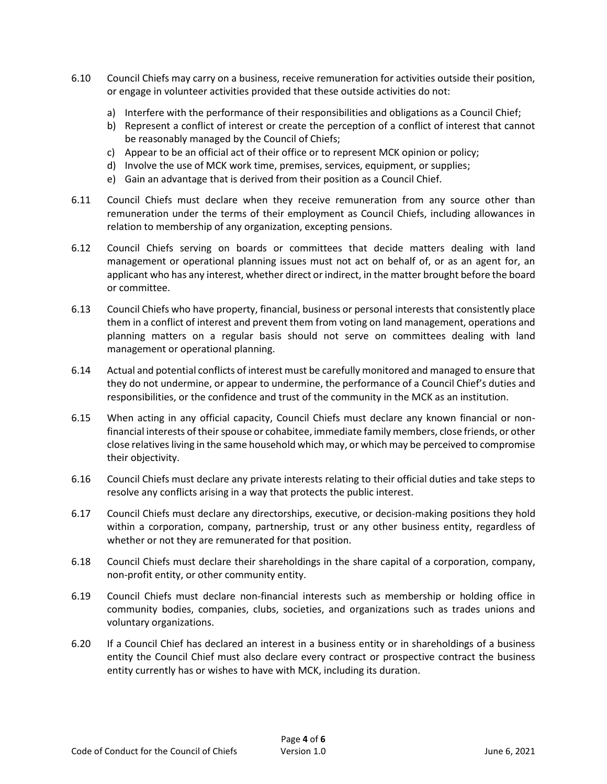- 6.10 Council Chiefs may carry on a business, receive remuneration for activities outside their position, or engage in volunteer activities provided that these outside activities do not:
	- a) Interfere with the performance of their responsibilities and obligations as a Council Chief;
	- b) Represent a conflict of interest or create the perception of a conflict of interest that cannot be reasonably managed by the Council of Chiefs;
	- c) Appear to be an official act of their office or to represent MCK opinion or policy;
	- d) Involve the use of MCK work time, premises, services, equipment, or supplies;
	- e) Gain an advantage that is derived from their position as a Council Chief.
- 6.11 Council Chiefs must declare when they receive remuneration from any source other than remuneration under the terms of their employment as Council Chiefs, including allowances in relation to membership of any organization, excepting pensions.
- 6.12 Council Chiefs serving on boards or committees that decide matters dealing with land management or operational planning issues must not act on behalf of, or as an agent for, an applicant who has any interest, whether direct or indirect, in the matter brought before the board or committee.
- 6.13 Council Chiefs who have property, financial, business or personal interests that consistently place them in a conflict of interest and prevent them from voting on land management, operations and planning matters on a regular basis should not serve on committees dealing with land management or operational planning.
- 6.14 Actual and potential conflicts of interest must be carefully monitored and managed to ensure that they do not undermine, or appear to undermine, the performance of a Council Chief's duties and responsibilities, or the confidence and trust of the community in the MCK as an institution.
- 6.15 When acting in any official capacity, Council Chiefs must declare any known financial or nonfinancial interests of their spouse or cohabitee, immediate family members, close friends, or other close relatives living in the same household which may, or which may be perceived to compromise their objectivity.
- 6.16 Council Chiefs must declare any private interests relating to their official duties and take steps to resolve any conflicts arising in a way that protects the public interest.
- 6.17 Council Chiefs must declare any directorships, executive, or decision-making positions they hold within a corporation, company, partnership, trust or any other business entity, regardless of whether or not they are remunerated for that position.
- 6.18 Council Chiefs must declare their shareholdings in the share capital of a corporation, company, non-profit entity, or other community entity.
- 6.19 Council Chiefs must declare non-financial interests such as membership or holding office in community bodies, companies, clubs, societies, and organizations such as trades unions and voluntary organizations.
- 6.20 If a Council Chief has declared an interest in a business entity or in shareholdings of a business entity the Council Chief must also declare every contract or prospective contract the business entity currently has or wishes to have with MCK, including its duration.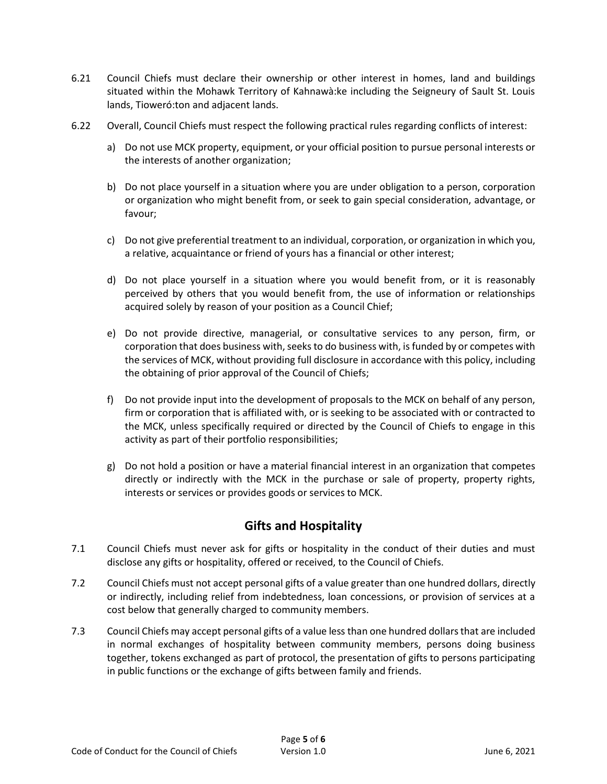- 6.21 Council Chiefs must declare their ownership or other interest in homes, land and buildings situated within the Mohawk Territory of Kahnawà:ke including the Seigneury of Sault St. Louis lands, Tioweró:ton and adjacent lands.
- 6.22 Overall, Council Chiefs must respect the following practical rules regarding conflicts of interest:
	- a) Do not use MCK property, equipment, or your official position to pursue personal interests or the interests of another organization;
	- b) Do not place yourself in a situation where you are under obligation to a person, corporation or organization who might benefit from, or seek to gain special consideration, advantage, or favour;
	- c) Do not give preferential treatment to an individual, corporation, or organization in which you, a relative, acquaintance or friend of yours has a financial or other interest;
	- d) Do not place yourself in a situation where you would benefit from, or it is reasonably perceived by others that you would benefit from, the use of information or relationships acquired solely by reason of your position as a Council Chief;
	- e) Do not provide directive, managerial, or consultative services to any person, firm, or corporation that does business with, seeks to do business with, is funded by or competes with the services of MCK, without providing full disclosure in accordance with this policy, including the obtaining of prior approval of the Council of Chiefs;
	- f) Do not provide input into the development of proposals to the MCK on behalf of any person, firm or corporation that is affiliated with, or is seeking to be associated with or contracted to the MCK, unless specifically required or directed by the Council of Chiefs to engage in this activity as part of their portfolio responsibilities;
	- g) Do not hold a position or have a material financial interest in an organization that competes directly or indirectly with the MCK in the purchase or sale of property, property rights, interests or services or provides goods or services to MCK.

# **Gifts and Hospitality**

- 7.1 Council Chiefs must never ask for gifts or hospitality in the conduct of their duties and must disclose any gifts or hospitality, offered or received, to the Council of Chiefs.
- 7.2 Council Chiefs must not accept personal gifts of a value greater than one hundred dollars, directly or indirectly, including relief from indebtedness, loan concessions, or provision of services at a cost below that generally charged to community members.
- 7.3 Council Chiefs may accept personal gifts of a value less than one hundred dollars that are included in normal exchanges of hospitality between community members, persons doing business together, tokens exchanged as part of protocol, the presentation of gifts to persons participating in public functions or the exchange of gifts between family and friends.